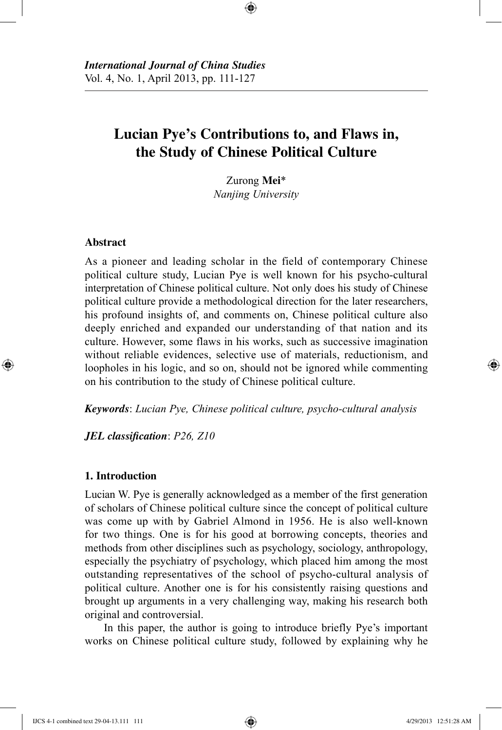# **Lucian Pye's Contributions to, and Flaws in, the Study of Chinese Political Culture**

⊕

Zurong **Mei**\* *Nanjing University*

# **Abstract**

⊕

As a pioneer and leading scholar in the field of contemporary Chinese political culture study, Lucian Pye is well known for his psycho-cultural interpretation of Chinese political culture. Not only does his study of Chinese political culture provide a methodological direction for the later researchers, his profound insights of, and comments on, Chinese political culture also deeply enriched and expanded our understanding of that nation and its culture. However, some flaws in his works, such as successive imagination without reliable evidences, selective use of materials, reductionism, and loopholes in his logic, and so on, should not be ignored while commenting on his contribution to the study of Chinese political culture.

*Keywords*: *Lucian Pye, Chinese political culture, psycho-cultural analysis*

*JEL classification*: *P26, Z10*

## **1. Introduction**

Lucian W. Pye is generally acknowledged as a member of the first generation of scholars of Chinese political culture since the concept of political culture was come up with by Gabriel Almond in 1956. He is also well-known for two things. One is for his good at borrowing concepts, theories and methods from other disciplines such as psychology, sociology, anthropology, especially the psychiatry of psychology, which placed him among the most outstanding representatives of the school of psycho-cultural analysis of political culture. Another one is for his consistently raising questions and brought up arguments in a very challenging way, making his research both original and controversial.

In this paper, the author is going to introduce briefly Pye's important works on Chinese political culture study, followed by explaining why he

IJCS 4-1 combined text 29-04-13.111 111 4/29/2013 12:51:28 AM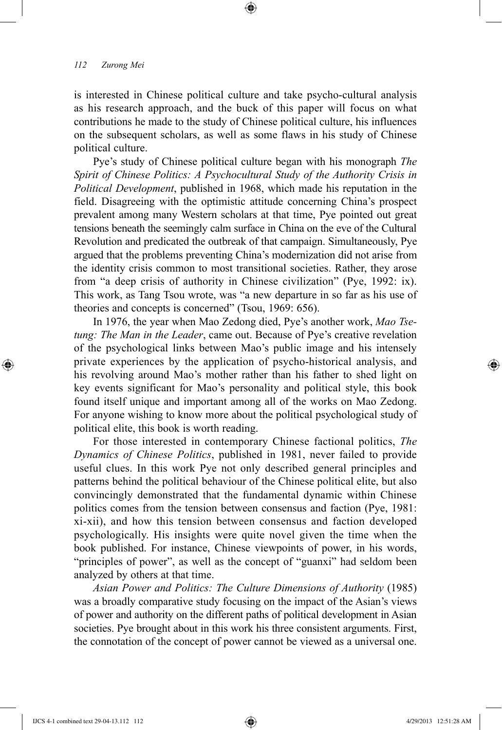is interested in Chinese political culture and take psycho-cultural analysis as his research approach, and the buck of this paper will focus on what contributions he made to the study of Chinese political culture, his influences on the subsequent scholars, as well as some flaws in his study of Chinese political culture.

⊕

Pye's study of Chinese political culture began with his monograph *The Spirit of Chinese Politics: A Psychocultural Study of the Authority Crisis in Political Development*, published in 1968, which made his reputation in the field. Disagreeing with the optimistic attitude concerning China's prospect prevalent among many Western scholars at that time, Pye pointed out great tensions beneath the seemingly calm surface in China on the eve of the Cultural Revolution and predicated the outbreak of that campaign. Simultaneously, Pye argued that the problems preventing China's modernization did not arise from the identity crisis common to most transitional societies. Rather, they arose from "a deep crisis of authority in Chinese civilization" (Pye, 1992: ix). This work, as Tang Tsou wrote, was "a new departure in so far as his use of theories and concepts is concerned" (Tsou, 1969: 656).

In 1976, the year when Mao Zedong died, Pye's another work, *Mao Tsetung: The Man in the Leader*, came out. Because of Pye's creative revelation of the psychological links between Mao's public image and his intensely private experiences by the application of psycho-historical analysis, and his revolving around Mao's mother rather than his father to shed light on key events significant for Mao's personality and political style, this book found itself unique and important among all of the works on Mao Zedong. For anyone wishing to know more about the political psychological study of political elite, this book is worth reading.

For those interested in contemporary Chinese factional politics, *The Dynamics of Chinese Politics*, published in 1981, never failed to provide useful clues. In this work Pye not only described general principles and patterns behind the political behaviour of the Chinese political elite, but also convincingly demonstrated that the fundamental dynamic within Chinese politics comes from the tension between consensus and faction (Pye, 1981: xi-xii), and how this tension between consensus and faction developed psychologically. His insights were quite novel given the time when the book published. For instance, Chinese viewpoints of power, in his words, "principles of power", as well as the concept of "guanxi" had seldom been analyzed by others at that time.

*Asian Power and Politics: The Culture Dimensions of Authority* (1985) was a broadly comparative study focusing on the impact of the Asian's views of power and authority on the different paths of political development in Asian societies. Pye brought about in this work his three consistent arguments. First, the connotation of the concept of power cannot be viewed as a universal one.

⊕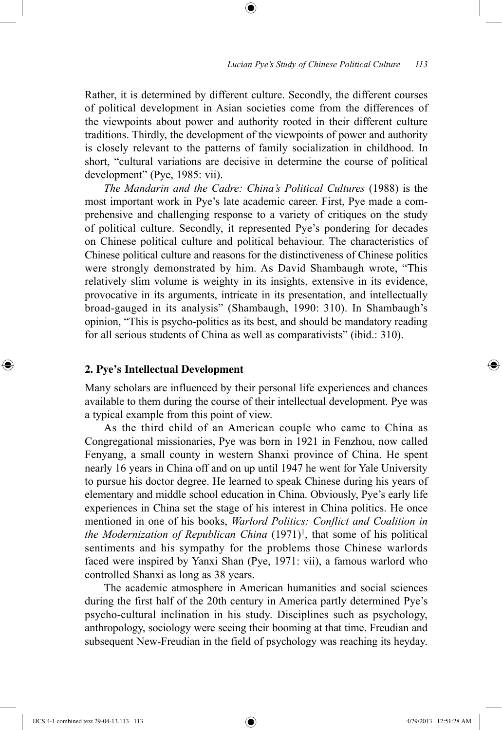Rather, it is determined by different culture. Secondly, the different courses of political development in Asian societies come from the differences of the viewpoints about power and authority rooted in their different culture traditions. Thirdly, the development of the viewpoints of power and authority is closely relevant to the patterns of family socialization in childhood. In short, "cultural variations are decisive in determine the course of political development" (Pye, 1985: vii).

⊕

*The Mandarin and the Cadre: China's Political Cultures* (1988) is the most important work in Pye's late academic career. First, Pye made a comprehensive and challenging response to a variety of critiques on the study of political culture. Secondly, it represented Pye's pondering for decades on Chinese political culture and political behaviour. The characteristics of Chinese political culture and reasons for the distinctiveness of Chinese politics were strongly demonstrated by him. As David Shambaugh wrote, "This relatively slim volume is weighty in its insights, extensive in its evidence, provocative in its arguments, intricate in its presentation, and intellectually broad-gauged in its analysis" (Shambaugh, 1990: 310). In Shambaugh's opinion, "This is psycho-politics as its best, and should be mandatory reading for all serious students of China as well as comparativists" (ibid.: 310).

#### **2. Pye's Intellectual Development**

Many scholars are influenced by their personal life experiences and chances available to them during the course of their intellectual development. Pye was a typical example from this point of view.

As the third child of an American couple who came to China as Congregational missionaries, Pye was born in 1921 in Fenzhou, now called Fenyang, a small county in western Shanxi province of China. He spent nearly 16 years in China off and on up until 1947 he went for Yale University to pursue his doctor degree. He learned to speak Chinese during his years of elementary and middle school education in China. Obviously, Pye's early life experiences in China set the stage of his interest in China politics. He once mentioned in one of his books, *Warlord Politics: Conflict and Coalition in the Modernization of Republican China*  $(1971)^1$ , that some of his political sentiments and his sympathy for the problems those Chinese warlords faced were inspired by Yanxi Shan (Pye, 1971: vii), a famous warlord who controlled Shanxi as long as 38 years.

The academic atmosphere in American humanities and social sciences during the first half of the 20th century in America partly determined Pye's psycho-cultural inclination in his study. Disciplines such as psychology, anthropology, sociology were seeing their booming at that time. Freudian and subsequent New-Freudian in the field of psychology was reaching its heyday.

IJCS 4-1 combined text 29-04-13.113 113 4/29/2013 12:51:28 AM

⊕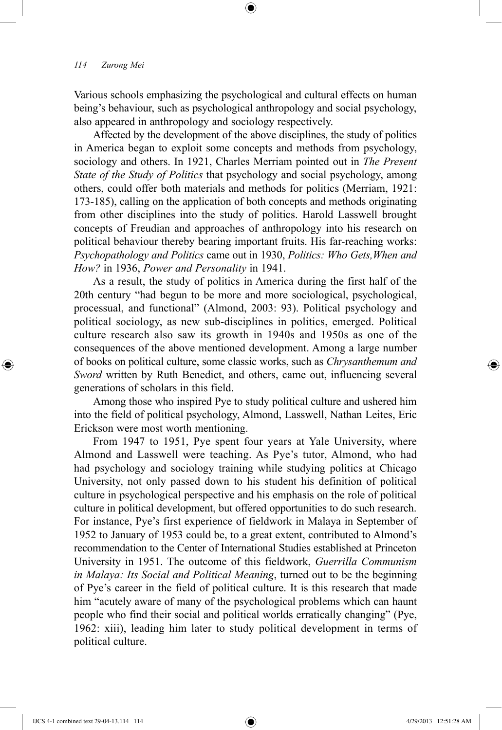Various schools emphasizing the psychological and cultural effects on human being's behaviour, such as psychological anthropology and social psychology, also appeared in anthropology and sociology respectively.

⊕

Affected by the development of the above disciplines, the study of politics in America began to exploit some concepts and methods from psychology, sociology and others. In 1921, Charles Merriam pointed out in *The Present State of the Study of Politics* that psychology and social psychology, among others, could offer both materials and methods for politics (Merriam, 1921: 173-185), calling on the application of both concepts and methods originating from other disciplines into the study of politics. Harold Lasswell brought concepts of Freudian and approaches of anthropology into his research on political behaviour thereby bearing important fruits. His far-reaching works: *Psychopathology and Politics* came out in 1930, *Politics: Who Gets,When and How?* in 1936, *Power and Personality* in 1941.

As a result, the study of politics in America during the first half of the 20th century "had begun to be more and more sociological, psychological, processual, and functional" (Almond, 2003: 93). Political psychology and political sociology, as new sub-disciplines in politics, emerged. Political culture research also saw its growth in 1940s and 1950s as one of the consequences of the above mentioned development. Among a large number of books on political culture, some classic works, such as *Chrysanthemum and Sword* written by Ruth Benedict, and others, came out, influencing several generations of scholars in this field.

Among those who inspired Pye to study political culture and ushered him into the field of political psychology, Almond, Lasswell, Nathan Leites, Eric Erickson were most worth mentioning.

From 1947 to 1951, Pye spent four years at Yale University, where Almond and Lasswell were teaching. As Pye's tutor, Almond, who had had psychology and sociology training while studying politics at Chicago University, not only passed down to his student his definition of political culture in psychological perspective and his emphasis on the role of political culture in political development, but offered opportunities to do such research. For instance, Pye's first experience of fieldwork in Malaya in September of 1952 to January of 1953 could be, to a great extent, contributed to Almond's recommendation to the Center of International Studies established at Princeton University in 1951. The outcome of this fieldwork, *Guerrilla Communism in Malaya: Its Social and Political Meaning*, turned out to be the beginning of Pye's career in the field of political culture. It is this research that made him "acutely aware of many of the psychological problems which can haunt people who find their social and political worlds erratically changing" (Pye, 1962: xiii), leading him later to study political development in terms of political culture.

⊕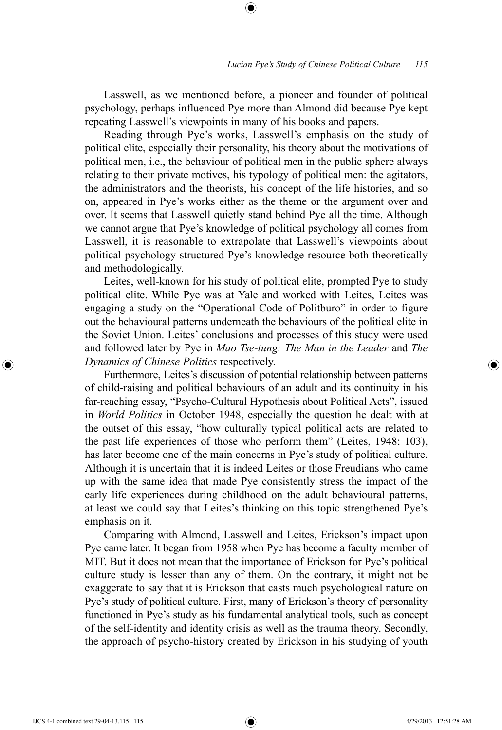Lasswell, as we mentioned before, a pioneer and founder of political psychology, perhaps influenced Pye more than Almond did because Pye kept repeating Lasswell's viewpoints in many of his books and papers.

⊕

Reading through Pye's works, Lasswell's emphasis on the study of political elite, especially their personality, his theory about the motivations of political men, i.e., the behaviour of political men in the public sphere always relating to their private motives, his typology of political men: the agitators, the administrators and the theorists, his concept of the life histories, and so on, appeared in Pye's works either as the theme or the argument over and over. It seems that Lasswell quietly stand behind Pye all the time. Although we cannot argue that Pye's knowledge of political psychology all comes from Lasswell, it is reasonable to extrapolate that Lasswell's viewpoints about political psychology structured Pye's knowledge resource both theoretically and methodologically.

Leites, well-known for his study of political elite, prompted Pye to study political elite. While Pye was at Yale and worked with Leites, Leites was engaging a study on the "Operational Code of Politburo" in order to figure out the behavioural patterns underneath the behaviours of the political elite in the Soviet Union. Leites' conclusions and processes of this study were used and followed later by Pye in *Mao Tse-tung: The Man in the Leader* and *The Dynamics of Chinese Politics* respectively.

Furthermore, Leites's discussion of potential relationship between patterns of child-raising and political behaviours of an adult and its continuity in his far-reaching essay, "Psycho-Cultural Hypothesis about Political Acts", issued in *World Politics* in October 1948, especially the question he dealt with at the outset of this essay, "how culturally typical political acts are related to the past life experiences of those who perform them" (Leites, 1948: 103), has later become one of the main concerns in Pye's study of political culture. Although it is uncertain that it is indeed Leites or those Freudians who came up with the same idea that made Pye consistently stress the impact of the early life experiences during childhood on the adult behavioural patterns, at least we could say that Leites's thinking on this topic strengthened Pye's emphasis on it.

Comparing with Almond, Lasswell and Leites, Erickson's impact upon Pye came later. It began from 1958 when Pye has become a faculty member of MIT. But it does not mean that the importance of Erickson for Pye's political culture study is lesser than any of them. On the contrary, it might not be exaggerate to say that it is Erickson that casts much psychological nature on Pye's study of political culture. First, many of Erickson's theory of personality functioned in Pye's study as his fundamental analytical tools, such as concept of the self-identity and identity crisis as well as the trauma theory. Secondly, the approach of psycho-history created by Erickson in his studying of youth

⊕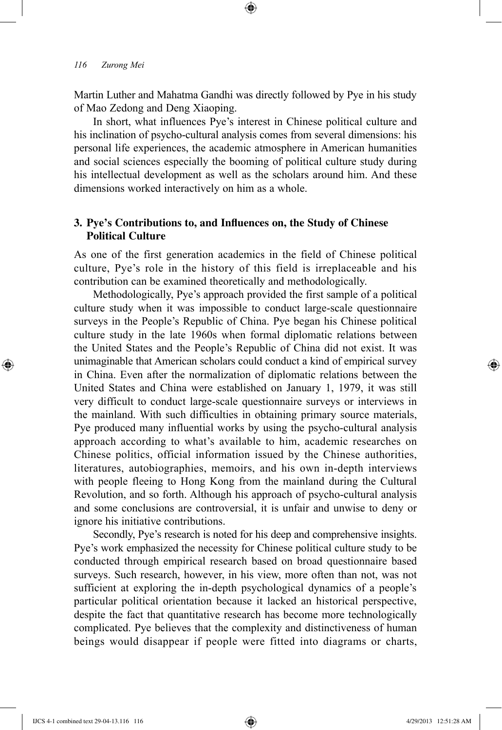Martin Luther and Mahatma Gandhi was directly followed by Pye in his study of Mao Zedong and Deng Xiaoping.

⊕

In short, what influences Pye's interest in Chinese political culture and his inclination of psycho-cultural analysis comes from several dimensions: his personal life experiences, the academic atmosphere in American humanities and social sciences especially the booming of political culture study during his intellectual development as well as the scholars around him. And these dimensions worked interactively on him as a whole.

# **3. Pye's Contributions to, and Influences on, the Study of Chinese Political Culture**

As one of the first generation academics in the field of Chinese political culture, Pye's role in the history of this field is irreplaceable and his contribution can be examined theoretically and methodologically.

Methodologically, Pye's approach provided the first sample of a political culture study when it was impossible to conduct large-scale questionnaire surveys in the People's Republic of China. Pye began his Chinese political culture study in the late 1960s when formal diplomatic relations between the United States and the People's Republic of China did not exist. It was unimaginable that American scholars could conduct a kind of empirical survey in China. Even after the normalization of diplomatic relations between the United States and China were established on January 1, 1979, it was still very difficult to conduct large-scale questionnaire surveys or interviews in the mainland. With such difficulties in obtaining primary source materials, Pye produced many influential works by using the psycho-cultural analysis approach according to what's available to him, academic researches on Chinese politics, official information issued by the Chinese authorities, literatures, autobiographies, memoirs, and his own in-depth interviews with people fleeing to Hong Kong from the mainland during the Cultural Revolution, and so forth. Although his approach of psycho-cultural analysis and some conclusions are controversial, it is unfair and unwise to deny or ignore his initiative contributions.

Secondly, Pye's research is noted for his deep and comprehensive insights. Pye's work emphasized the necessity for Chinese political culture study to be conducted through empirical research based on broad questionnaire based surveys. Such research, however, in his view, more often than not, was not sufficient at exploring the in-depth psychological dynamics of a people's particular political orientation because it lacked an historical perspective, despite the fact that quantitative research has become more technologically complicated. Pye believes that the complexity and distinctiveness of human beings would disappear if people were fitted into diagrams or charts,

⊕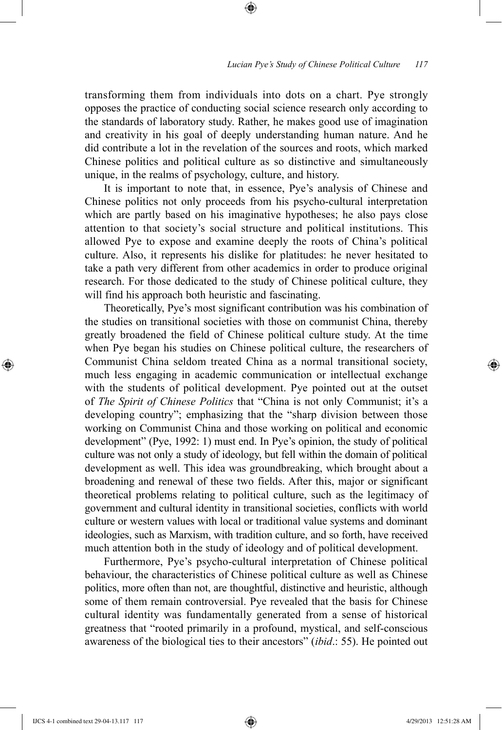transforming them from individuals into dots on a chart. Pye strongly opposes the practice of conducting social science research only according to the standards of laboratory study. Rather, he makes good use of imagination and creativity in his goal of deeply understanding human nature. And he did contribute a lot in the revelation of the sources and roots, which marked Chinese politics and political culture as so distinctive and simultaneously unique, in the realms of psychology, culture, and history.

⊕

It is important to note that, in essence, Pye's analysis of Chinese and Chinese politics not only proceeds from his psycho-cultural interpretation which are partly based on his imaginative hypotheses; he also pays close attention to that society's social structure and political institutions. This allowed Pye to expose and examine deeply the roots of China's political culture. Also, it represents his dislike for platitudes: he never hesitated to take a path very different from other academics in order to produce original research. For those dedicated to the study of Chinese political culture, they will find his approach both heuristic and fascinating.

Theoretically, Pye's most significant contribution was his combination of the studies on transitional societies with those on communist China, thereby greatly broadened the field of Chinese political culture study. At the time when Pye began his studies on Chinese political culture, the researchers of Communist China seldom treated China as a normal transitional society, much less engaging in academic communication or intellectual exchange with the students of political development. Pye pointed out at the outset of *The Spirit of Chinese Politics* that "China is not only Communist; it's a developing country"; emphasizing that the "sharp division between those working on Communist China and those working on political and economic development" (Pye, 1992: 1) must end. In Pye's opinion, the study of political culture was not only a study of ideology, but fell within the domain of political development as well. This idea was groundbreaking, which brought about a broadening and renewal of these two fields. After this, major or significant theoretical problems relating to political culture, such as the legitimacy of government and cultural identity in transitional societies, conflicts with world culture or western values with local or traditional value systems and dominant ideologies, such as Marxism, with tradition culture, and so forth, have received much attention both in the study of ideology and of political development.

Furthermore, Pye's psycho-cultural interpretation of Chinese political behaviour, the characteristics of Chinese political culture as well as Chinese politics, more often than not, are thoughtful, distinctive and heuristic, although some of them remain controversial. Pye revealed that the basis for Chinese cultural identity was fundamentally generated from a sense of historical greatness that "rooted primarily in a profound, mystical, and self-conscious awareness of the biological ties to their ancestors" (*ibid*.: 55). He pointed out

⊕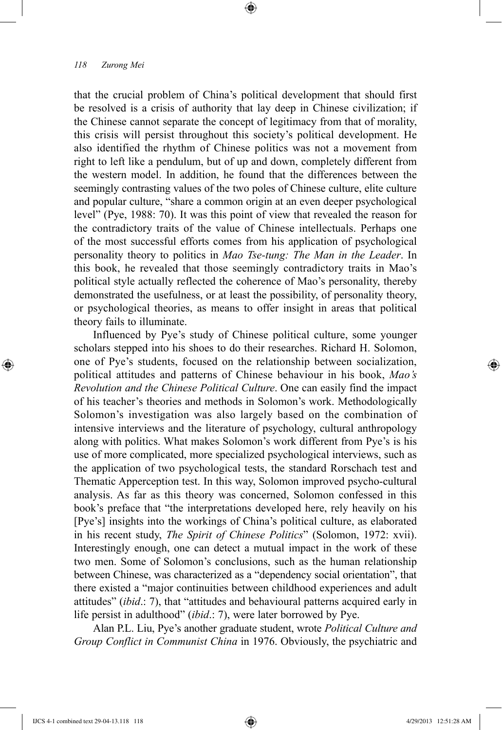that the crucial problem of China's political development that should first be resolved is a crisis of authority that lay deep in Chinese civilization; if the Chinese cannot separate the concept of legitimacy from that of morality, this crisis will persist throughout this society's political development. He also identified the rhythm of Chinese politics was not a movement from right to left like a pendulum, but of up and down, completely different from the western model. In addition, he found that the differences between the seemingly contrasting values of the two poles of Chinese culture, elite culture and popular culture, "share a common origin at an even deeper psychological level" (Pye, 1988: 70). It was this point of view that revealed the reason for the contradictory traits of the value of Chinese intellectuals. Perhaps one of the most successful efforts comes from his application of psychological personality theory to politics in *Mao Tse-tung: The Man in the Leader*. In this book, he revealed that those seemingly contradictory traits in Mao's political style actually reflected the coherence of Mao's personality, thereby demonstrated the usefulness, or at least the possibility, of personality theory, or psychological theories, as means to offer insight in areas that political theory fails to illuminate.

⊕

Influenced by Pye's study of Chinese political culture, some younger scholars stepped into his shoes to do their researches. Richard H. Solomon, one of Pye's students, focused on the relationship between socialization, political attitudes and patterns of Chinese behaviour in his book, *Mao's Revolution and the Chinese Political Culture*. One can easily find the impact of his teacher's theories and methods in Solomon's work. Methodologically Solomon's investigation was also largely based on the combination of intensive interviews and the literature of psychology, cultural anthropology along with politics. What makes Solomon's work different from Pye's is his use of more complicated, more specialized psychological interviews, such as the application of two psychological tests, the standard Rorschach test and Thematic Apperception test. In this way, Solomon improved psycho-cultural analysis. As far as this theory was concerned, Solomon confessed in this book's preface that "the interpretations developed here, rely heavily on his [Pye's] insights into the workings of China's political culture, as elaborated in his recent study, *The Spirit of Chinese Politics*" (Solomon, 1972: xvii). Interestingly enough, one can detect a mutual impact in the work of these two men. Some of Solomon's conclusions, such as the human relationship between Chinese, was characterized as a "dependency social orientation", that there existed a "major continuities between childhood experiences and adult attitudes" (*ibid*.: 7), that "attitudes and behavioural patterns acquired early in life persist in adulthood" (*ibid*.: 7), were later borrowed by Pye.

Alan P.L. Liu, Pye's another graduate student, wrote *Political Culture and Group Conflict in Communist China* in 1976. Obviously, the psychiatric and

IJCS 4-1 combined text 29-04-13.118 118 4/29/2013 12:51:28 AM

⊕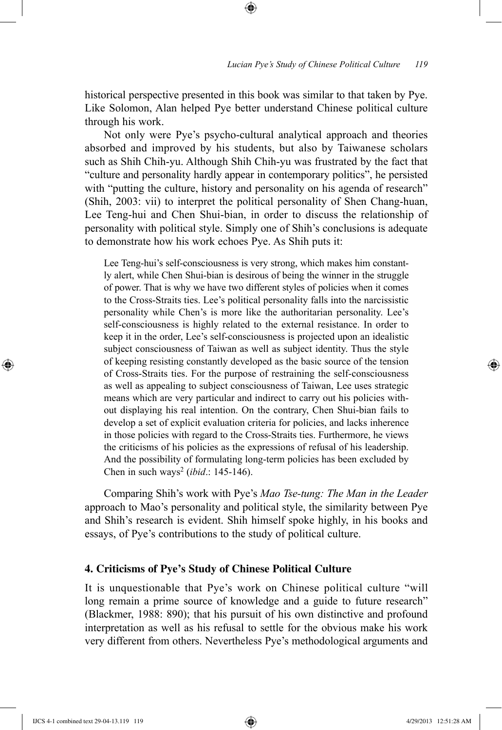historical perspective presented in this book was similar to that taken by Pye. Like Solomon, Alan helped Pye better understand Chinese political culture through his work.

⊕

Not only were Pye's psycho-cultural analytical approach and theories absorbed and improved by his students, but also by Taiwanese scholars such as Shih Chih-yu. Although Shih Chih-yu was frustrated by the fact that "culture and personality hardly appear in contemporary politics", he persisted with "putting the culture, history and personality on his agenda of research" (Shih, 2003: vii) to interpret the political personality of Shen Chang-huan, Lee Teng-hui and Chen Shui-bian, in order to discuss the relationship of personality with political style. Simply one of Shih's conclusions is adequate to demonstrate how his work echoes Pye. As Shih puts it:

Lee Teng-hui's self-consciousness is very strong, which makes him constantly alert, while Chen Shui-bian is desirous of being the winner in the struggle of power. That is why we have two different styles of policies when it comes to the Cross-Straits ties. Lee's political personality falls into the narcissistic personality while Chen's is more like the authoritarian personality. Lee's self-consciousness is highly related to the external resistance. In order to keep it in the order, Lee's self-consciousness is projected upon an idealistic subject consciousness of Taiwan as well as subject identity. Thus the style of keeping resisting constantly developed as the basic source of the tension of Cross-Straits ties. For the purpose of restraining the self-consciousness as well as appealing to subject consciousness of Taiwan, Lee uses strategic means which are very particular and indirect to carry out his policies without displaying his real intention. On the contrary, Chen Shui-bian fails to develop a set of explicit evaluation criteria for policies, and lacks inherence in those policies with regard to the Cross-Straits ties. Furthermore, he views the criticisms of his policies as the expressions of refusal of his leadership. And the possibility of formulating long-term policies has been excluded by Chen in such ways2 (*ibid*.: 145-146).

Comparing Shih's work with Pye's *Mao Tse-tung: The Man in the Leader*  approach to Mao's personality and political style, the similarity between Pye and Shih's research is evident. Shih himself spoke highly, in his books and essays, of Pye's contributions to the study of political culture.

## **4. Criticisms of Pye's Study of Chinese Political Culture**

It is unquestionable that Pye's work on Chinese political culture "will long remain a prime source of knowledge and a guide to future research" (Blackmer, 1988: 890); that his pursuit of his own distinctive and profound interpretation as well as his refusal to settle for the obvious make his work very different from others. Nevertheless Pye's methodological arguments and

⊕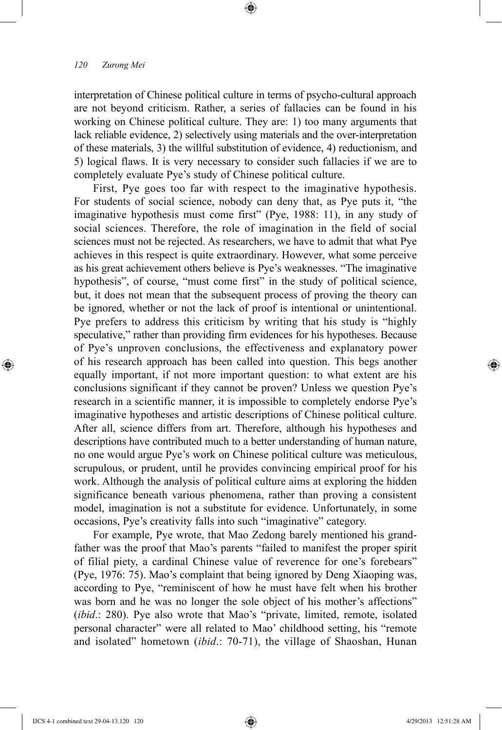interpretation of Chinese political culture in terms of psycho-cultural approach are not beyond criticism. Rather, a series of fallacies can be found in his working on Chinese political culture. They are: 1) too many arguments that lack reliable evidence, 2) selectively using materials and the over-interpretation of these materials, 3) the willful substitution of evidence, 4) reductionism, and 5) logical flaws. It is very necessary to consider such fallacies if we are to completely evaluate Pye's study of Chinese political culture.

⊕

First, Pye goes too far with respect to the imaginative hypothesis. For students of social science, nobody can deny that, as Pye puts it, "the imaginative hypothesis must come first" (Pye, 1988: 11), in any study of social sciences. Therefore, the role of imagination in the field of social sciences must not be rejected. As researchers, we have to admit that what Pye achieves in this respect is quite extraordinary. However, what some perceive as his great achievement others believe is Pye's weaknesses. "The imaginative hypothesis", of course, "must come first" in the study of political science, but, it does not mean that the subsequent process of proving the theory can be ignored, whether or not the lack of proof is intentional or unintentional. Pye prefers to address this criticism by writing that his study is "highly speculative," rather than providing firm evidences for his hypotheses. Because of Pye's unproven conclusions, the effectiveness and explanatory power of his research approach has been called into question. This begs another equally important, if not more important question: to what extent are his conclusions significant if they cannot be proven? Unless we question Pye's research in a scientific manner, it is impossible to completely endorse Pye's imaginative hypotheses and artistic descriptions of Chinese political culture. After all, science differs from art. Therefore, although his hypotheses and descriptions have contributed much to a better understanding of human nature, no one would argue Pye's work on Chinese political culture was meticulous, scrupulous, or prudent, until he provides convincing empirical proof for his work. Although the analysis of political culture aims at exploring the hidden significance beneath various phenomena, rather than proving a consistent model, imagination is not a substitute for evidence. Unfortunately, in some occasions, Pye's creativity falls into such "imaginative" category.

For example, Pye wrote, that Mao Zedong barely mentioned his grandfather was the proof that Mao's parents "failed to manifest the proper spirit of filial piety, a cardinal Chinese value of reverence for one's forebears" (Pye, 1976: 75). Mao's complaint that being ignored by Deng Xiaoping was, according to Pye, "reminiscent of how he must have felt when his brother was born and he was no longer the sole object of his mother's affections" (*ibid*.: 280). Pye also wrote that Mao's "private, limited, remote, isolated personal character" were all related to Mao' childhood setting, his "remote and isolated" hometown (*ibid*.: 70-71), the village of Shaoshan, Hunan

⊕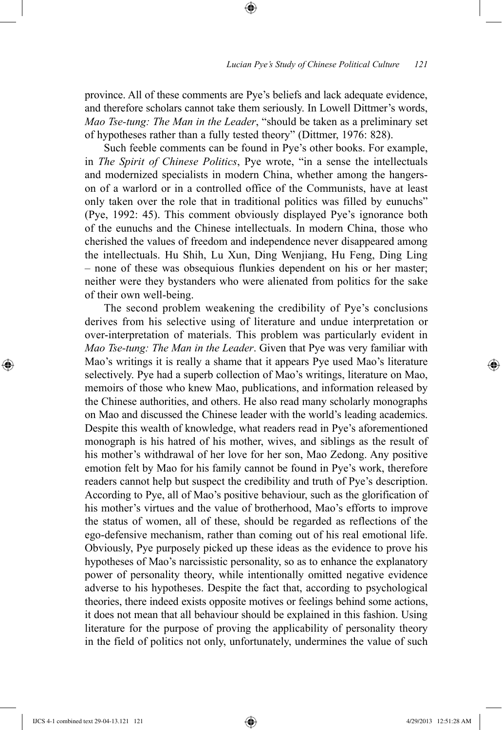province. All of these comments are Pye's beliefs and lack adequate evidence, and therefore scholars cannot take them seriously. In Lowell Dittmer's words, *Mao Tse-tung: The Man in the Leader*, "should be taken as a preliminary set of hypotheses rather than a fully tested theory" (Dittmer, 1976: 828).

⊕

Such feeble comments can be found in Pye's other books. For example, in *The Spirit of Chinese Politics*, Pye wrote, "in a sense the intellectuals and modernized specialists in modern China, whether among the hangerson of a warlord or in a controlled office of the Communists, have at least only taken over the role that in traditional politics was filled by eunuchs" (Pye, 1992: 45). This comment obviously displayed Pye's ignorance both of the eunuchs and the Chinese intellectuals. In modern China, those who cherished the values of freedom and independence never disappeared among the intellectuals. Hu Shih, Lu Xun, Ding Wenjiang, Hu Feng, Ding Ling – none of these was obsequious flunkies dependent on his or her master; neither were they bystanders who were alienated from politics for the sake of their own well-being.

The second problem weakening the credibility of Pye's conclusions derives from his selective using of literature and undue interpretation or over-interpretation of materials. This problem was particularly evident in *Mao Tse-tung: The Man in the Leader*. Given that Pye was very familiar with Mao's writings it is really a shame that it appears Pye used Mao's literature selectively. Pye had a superb collection of Mao's writings, literature on Mao, memoirs of those who knew Mao, publications, and information released by the Chinese authorities, and others. He also read many scholarly monographs on Mao and discussed the Chinese leader with the world's leading academics. Despite this wealth of knowledge, what readers read in Pye's aforementioned monograph is his hatred of his mother, wives, and siblings as the result of his mother's withdrawal of her love for her son, Mao Zedong. Any positive emotion felt by Mao for his family cannot be found in Pye's work, therefore readers cannot help but suspect the credibility and truth of Pye's description. According to Pye, all of Mao's positive behaviour, such as the glorification of his mother's virtues and the value of brotherhood, Mao's efforts to improve the status of women, all of these, should be regarded as reflections of the ego-defensive mechanism, rather than coming out of his real emotional life. Obviously, Pye purposely picked up these ideas as the evidence to prove his hypotheses of Mao's narcissistic personality, so as to enhance the explanatory power of personality theory, while intentionally omitted negative evidence adverse to his hypotheses. Despite the fact that, according to psychological theories, there indeed exists opposite motives or feelings behind some actions, it does not mean that all behaviour should be explained in this fashion. Using literature for the purpose of proving the applicability of personality theory in the field of politics not only, unfortunately, undermines the value of such

⊕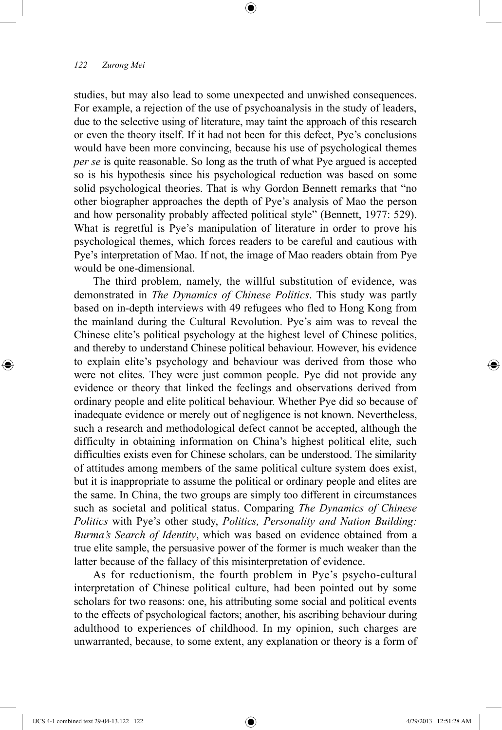studies, but may also lead to some unexpected and unwished consequences. For example, a rejection of the use of psychoanalysis in the study of leaders, due to the selective using of literature, may taint the approach of this research or even the theory itself. If it had not been for this defect, Pye's conclusions would have been more convincing, because his use of psychological themes *per se* is quite reasonable. So long as the truth of what Pye argued is accepted so is his hypothesis since his psychological reduction was based on some solid psychological theories. That is why Gordon Bennett remarks that "no other biographer approaches the depth of Pye's analysis of Mao the person and how personality probably affected political style" (Bennett, 1977: 529). What is regretful is Pye's manipulation of literature in order to prove his psychological themes, which forces readers to be careful and cautious with Pye's interpretation of Mao. If not, the image of Mao readers obtain from Pye would be one-dimensional.

⊕

The third problem, namely, the willful substitution of evidence, was demonstrated in *The Dynamics of Chinese Politics*. This study was partly based on in-depth interviews with 49 refugees who fled to Hong Kong from the mainland during the Cultural Revolution. Pye's aim was to reveal the Chinese elite's political psychology at the highest level of Chinese politics, and thereby to understand Chinese political behaviour. However, his evidence to explain elite's psychology and behaviour was derived from those who were not elites. They were just common people. Pye did not provide any evidence or theory that linked the feelings and observations derived from ordinary people and elite political behaviour. Whether Pye did so because of inadequate evidence or merely out of negligence is not known. Nevertheless, such a research and methodological defect cannot be accepted, although the difficulty in obtaining information on China's highest political elite, such difficulties exists even for Chinese scholars, can be understood. The similarity of attitudes among members of the same political culture system does exist, but it is inappropriate to assume the political or ordinary people and elites are the same. In China, the two groups are simply too different in circumstances such as societal and political status. Comparing *The Dynamics of Chinese Politics* with Pye's other study, *Politics, Personality and Nation Building: Burma's Search of Identity*, which was based on evidence obtained from a true elite sample, the persuasive power of the former is much weaker than the latter because of the fallacy of this misinterpretation of evidence.

As for reductionism, the fourth problem in Pye's psycho-cultural interpretation of Chinese political culture, had been pointed out by some scholars for two reasons: one, his attributing some social and political events to the effects of psychological factors; another, his ascribing behaviour during adulthood to experiences of childhood. In my opinion, such charges are unwarranted, because, to some extent, any explanation or theory is a form of

⊕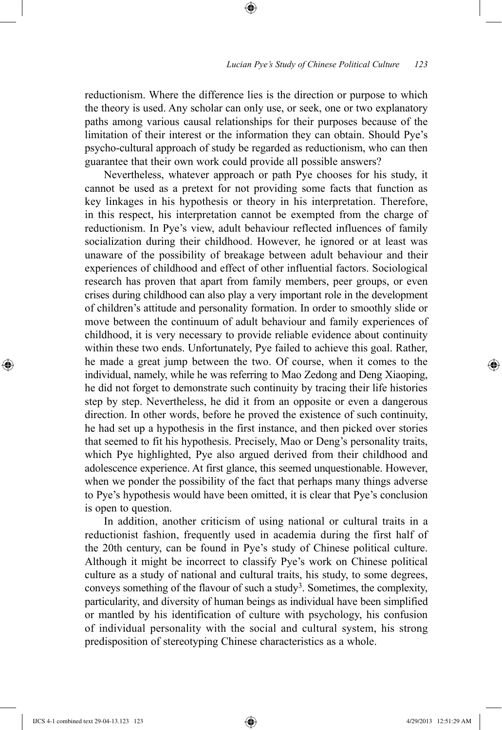reductionism. Where the difference lies is the direction or purpose to which the theory is used. Any scholar can only use, or seek, one or two explanatory paths among various causal relationships for their purposes because of the limitation of their interest or the information they can obtain. Should Pye's psycho-cultural approach of study be regarded as reductionism, who can then guarantee that their own work could provide all possible answers?

⊕

Nevertheless, whatever approach or path Pye chooses for his study, it cannot be used as a pretext for not providing some facts that function as key linkages in his hypothesis or theory in his interpretation. Therefore, in this respect, his interpretation cannot be exempted from the charge of reductionism. In Pye's view, adult behaviour reflected influences of family socialization during their childhood. However, he ignored or at least was unaware of the possibility of breakage between adult behaviour and their experiences of childhood and effect of other influential factors. Sociological research has proven that apart from family members, peer groups, or even crises during childhood can also play a very important role in the development of children's attitude and personality formation. In order to smoothly slide or move between the continuum of adult behaviour and family experiences of childhood, it is very necessary to provide reliable evidence about continuity within these two ends. Unfortunately, Pye failed to achieve this goal. Rather, he made a great jump between the two. Of course, when it comes to the individual, namely, while he was referring to Mao Zedong and Deng Xiaoping, he did not forget to demonstrate such continuity by tracing their life histories step by step. Nevertheless, he did it from an opposite or even a dangerous direction. In other words, before he proved the existence of such continuity, he had set up a hypothesis in the first instance, and then picked over stories that seemed to fit his hypothesis. Precisely, Mao or Deng's personality traits, which Pye highlighted, Pye also argued derived from their childhood and adolescence experience. At first glance, this seemed unquestionable. However, when we ponder the possibility of the fact that perhaps many things adverse to Pye's hypothesis would have been omitted, it is clear that Pye's conclusion is open to question.

In addition, another criticism of using national or cultural traits in a reductionist fashion, frequently used in academia during the first half of the 20th century, can be found in Pye's study of Chinese political culture. Although it might be incorrect to classify Pye's work on Chinese political culture as a study of national and cultural traits, his study, to some degrees, conveys something of the flavour of such a study<sup>3</sup>. Sometimes, the complexity, particularity, and diversity of human beings as individual have been simplified or mantled by his identification of culture with psychology, his confusion of individual personality with the social and cultural system, his strong predisposition of stereotyping Chinese characteristics as a whole.

IJCS 4-1 combined text 29-04-13.123 123 4/29/2013 12:51:29 AM

⊕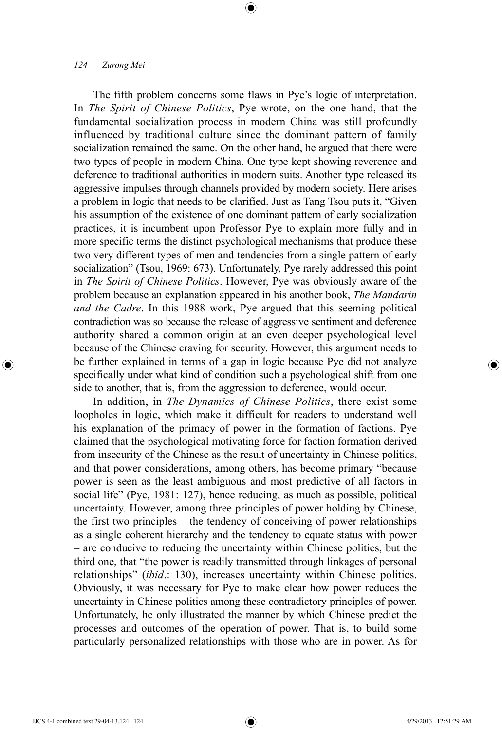The fifth problem concerns some flaws in Pye's logic of interpretation. In *The Spirit of Chinese Politics*, Pye wrote, on the one hand, that the fundamental socialization process in modern China was still profoundly influenced by traditional culture since the dominant pattern of family socialization remained the same. On the other hand, he argued that there were two types of people in modern China. One type kept showing reverence and deference to traditional authorities in modern suits. Another type released its aggressive impulses through channels provided by modern society. Here arises a problem in logic that needs to be clarified. Just as Tang Tsou puts it, "Given his assumption of the existence of one dominant pattern of early socialization practices, it is incumbent upon Professor Pye to explain more fully and in more specific terms the distinct psychological mechanisms that produce these two very different types of men and tendencies from a single pattern of early socialization" (Tsou, 1969: 673). Unfortunately, Pye rarely addressed this point in *The Spirit of Chinese Politics*. However, Pye was obviously aware of the problem because an explanation appeared in his another book, *The Mandarin and the Cadre*. In this 1988 work, Pye argued that this seeming political contradiction was so because the release of aggressive sentiment and deference authority shared a common origin at an even deeper psychological level because of the Chinese craving for security. However, this argument needs to be further explained in terms of a gap in logic because Pye did not analyze specifically under what kind of condition such a psychological shift from one side to another, that is, from the aggression to deference, would occur.

⊕

In addition, in *The Dynamics of Chinese Politics*, there exist some loopholes in logic, which make it difficult for readers to understand well his explanation of the primacy of power in the formation of factions. Pye claimed that the psychological motivating force for faction formation derived from insecurity of the Chinese as the result of uncertainty in Chinese politics, and that power considerations, among others, has become primary "because power is seen as the least ambiguous and most predictive of all factors in social life" (Pye, 1981: 127), hence reducing, as much as possible, political uncertainty. However, among three principles of power holding by Chinese, the first two principles – the tendency of conceiving of power relationships as a single coherent hierarchy and the tendency to equate status with power – are conducive to reducing the uncertainty within Chinese politics, but the third one, that "the power is readily transmitted through linkages of personal relationships" (*ibid*.: 130), increases uncertainty within Chinese politics. Obviously, it was necessary for Pye to make clear how power reduces the uncertainty in Chinese politics among these contradictory principles of power. Unfortunately, he only illustrated the manner by which Chinese predict the processes and outcomes of the operation of power. That is, to build some particularly personalized relationships with those who are in power. As for

⊕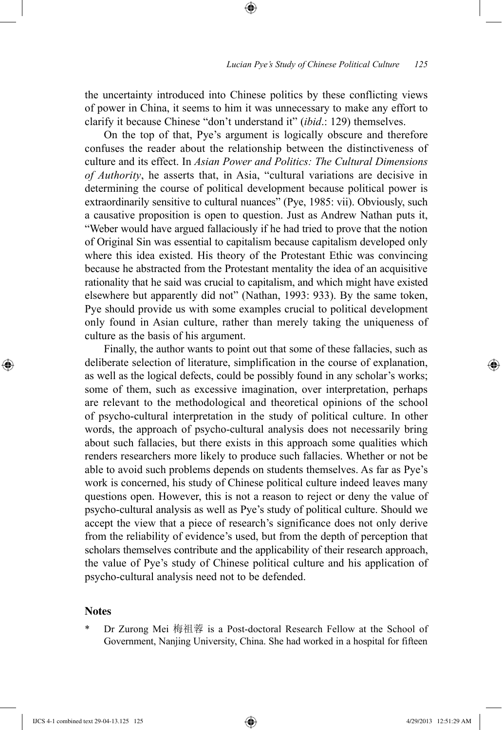the uncertainty introduced into Chinese politics by these conflicting views of power in China, it seems to him it was unnecessary to make any effort to clarify it because Chinese "don't understand it" (*ibid*.: 129) themselves.

⊕

On the top of that, Pye's argument is logically obscure and therefore confuses the reader about the relationship between the distinctiveness of culture and its effect. In *Asian Power and Politics: The Cultural Dimensions of Authority*, he asserts that, in Asia, "cultural variations are decisive in determining the course of political development because political power is extraordinarily sensitive to cultural nuances" (Pye, 1985: vii). Obviously, such a causative proposition is open to question. Just as Andrew Nathan puts it, "Weber would have argued fallaciously if he had tried to prove that the notion of Original Sin was essential to capitalism because capitalism developed only where this idea existed. His theory of the Protestant Ethic was convincing because he abstracted from the Protestant mentality the idea of an acquisitive rationality that he said was crucial to capitalism, and which might have existed elsewhere but apparently did not" (Nathan, 1993: 933). By the same token, Pye should provide us with some examples crucial to political development only found in Asian culture, rather than merely taking the uniqueness of culture as the basis of his argument.

Finally, the author wants to point out that some of these fallacies, such as deliberate selection of literature, simplification in the course of explanation, as well as the logical defects, could be possibly found in any scholar's works; some of them, such as excessive imagination, over interpretation, perhaps are relevant to the methodological and theoretical opinions of the school of psycho-cultural interpretation in the study of political culture. In other words, the approach of psycho-cultural analysis does not necessarily bring about such fallacies, but there exists in this approach some qualities which renders researchers more likely to produce such fallacies. Whether or not be able to avoid such problems depends on students themselves. As far as Pye's work is concerned, his study of Chinese political culture indeed leaves many questions open. However, this is not a reason to reject or deny the value of psycho-cultural analysis as well as Pye's study of political culture. Should we accept the view that a piece of research's significance does not only derive from the reliability of evidence's used, but from the depth of perception that scholars themselves contribute and the applicability of their research approach, the value of Pye's study of Chinese political culture and his application of psycho-cultural analysis need not to be defended.

#### **Notes**

⊕

Dr Zurong Mei 梅祖蓉 is a Post-doctoral Research Fellow at the School of Government, Nanjing University, China. She had worked in a hospital for fifteen

IJCS 4-1 combined text 29-04-13.125 125 4/29/2013 12:51:29 AM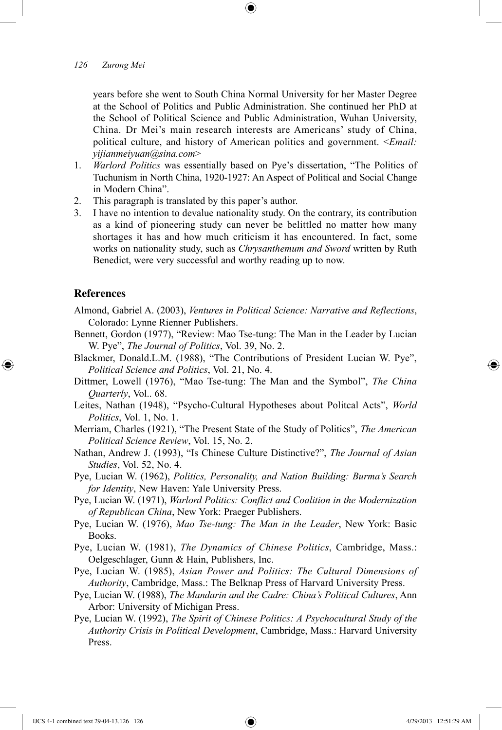years before she went to South China Normal University for her Master Degree at the School of Politics and Public Administration. She continued her PhD at the School of Political Science and Public Administration, Wuhan University, China. Dr Mei's main research interests are Americans' study of China, political culture, and history of American politics and government. <*Email: yijianmeiyuan@sina.com*>

- 1. *Warlord Politics* was essentially based on Pye's dissertation, "The Politics of Tuchunism in North China, 1920-1927: An Aspect of Political and Social Change in Modern China".
- 2. This paragraph is translated by this paper's author.
- 3. I have no intention to devalue nationality study. On the contrary, its contribution as a kind of pioneering study can never be belittled no matter how many shortages it has and how much criticism it has encountered. In fact, some works on nationality study, such as *Chrysanthemum and Sword* written by Ruth Benedict, were very successful and worthy reading up to now.

#### **References**

⊕

- Almond, Gabriel A. (2003), *Ventures in Political Science: Narrative and Reflections*, Colorado: Lynne Rienner Publishers.
- Bennett, Gordon (1977), "Review: Mao Tse-tung: The Man in the Leader by Lucian W. Pye", *The Journal of Politics*, Vol. 39, No. 2.
- Blackmer, Donald.L.M. (1988), "The Contributions of President Lucian W. Pye", *Political Science and Politics*, Vol. 21, No. 4.
- Dittmer, Lowell (1976), "Mao Tse-tung: The Man and the Symbol", *The China Quarterly*, Vol.. 68.
- Leites, Nathan (1948), "Psycho-Cultural Hypotheses about Politcal Acts", *World Politics*, Vol. 1, No. 1.
- Merriam, Charles (1921), "The Present State of the Study of Politics", *The American Political Science Review*, Vol. 15, No. 2.
- Nathan, Andrew J. (1993), "Is Chinese Culture Distinctive?", *The Journal of Asian Studies*, Vol. 52, No. 4.

Pye, Lucian W. (1962), *Politics, Personality, and Nation Building: Burma's Search for Identity*, New Haven: Yale University Press.

Pye, Lucian W. (1971), *Warlord Politics: Conflict and Coalition in the Modernization of Republican China*, New York: Praeger Publishers.

Pye, Lucian W. (1976), *Mao Tse-tung: The Man in the Leader*, New York: Basic Books.

Pye, Lucian W. (1981), *The Dynamics of Chinese Politics*, Cambridge, Mass.: Oelgeschlager, Gunn & Hain, Publishers, Inc.

- Pye, Lucian W. (1985), *Asian Power and Politics: The Cultural Dimensions of Authority*, Cambridge, Mass.: The Belknap Press of Harvard University Press.
- Pye, Lucian W. (1988), *The Mandarin and the Cadre: China's Political Cultures*, Ann Arbor: University of Michigan Press.
- Pye, Lucian W. (1992), *The Spirit of Chinese Politics: A Psychocultural Study of the Authority Crisis in Political Development*, Cambridge, Mass.: Harvard University Press.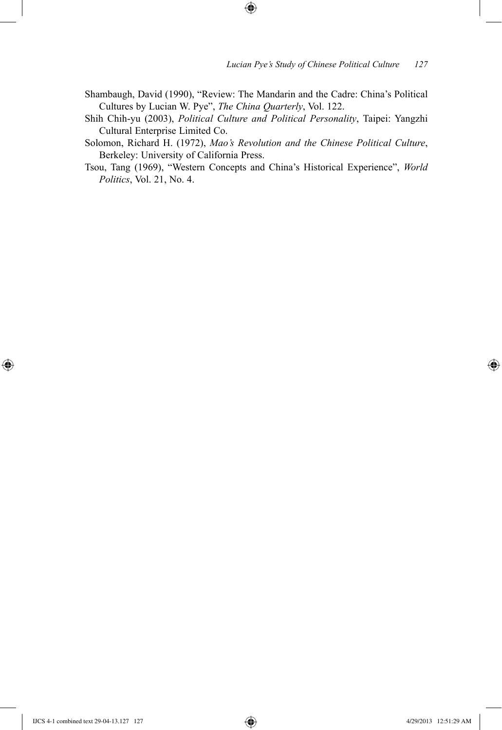Shambaugh, David (1990), "Review: The Mandarin and the Cadre: China's Political Cultures by Lucian W. Pye", *The China Quarterly*, Vol. 122.

 $\bigoplus$ 

Shih Chih-yu (2003), *Political Culture and Political Personality*, Taipei: Yangzhi Cultural Enterprise Limited Co.

Solomon, Richard H. (1972), *Mao's Revolution and the Chinese Political Culture*, Berkeley: University of California Press.

Tsou, Tang (1969), "Western Concepts and China's Historical Experience", *World Politics*, Vol. 21, No. 4.

 $\bigoplus$